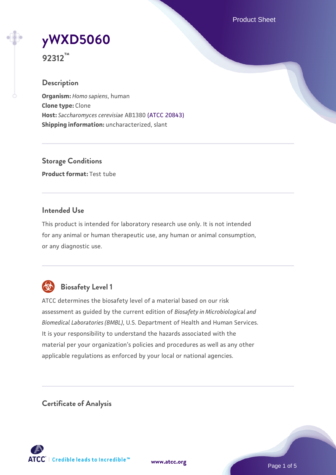Product Sheet

# **[yWXD5060](https://www.atcc.org/products/92312)**

**92312™**

## **Description**

**Organism:** *Homo sapiens*, human **Clone type:** Clone **Host:** *Saccharomyces cerevisiae* AB1380 [\(ATCC 20843\)](https://www.atcc.org/products/20843) **Shipping information:** uncharacterized, slant

**Storage Conditions Product format:** Test tube

## **Intended Use**

This product is intended for laboratory research use only. It is not intended for any animal or human therapeutic use, any human or animal consumption, or any diagnostic use.



# **Biosafety Level 1**

ATCC determines the biosafety level of a material based on our risk assessment as guided by the current edition of *Biosafety in Microbiological and Biomedical Laboratories (BMBL)*, U.S. Department of Health and Human Services. It is your responsibility to understand the hazards associated with the material per your organization's policies and procedures as well as any other applicable regulations as enforced by your local or national agencies.

**Certificate of Analysis**

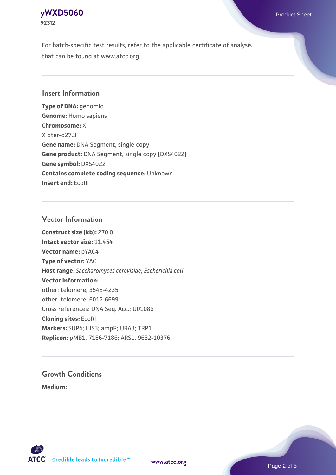## **[yWXD5060](https://www.atcc.org/products/92312)** Product Sheet **92312**

For batch-specific test results, refer to the applicable certificate of analysis that can be found at www.atcc.org.

## **Insert Information**

**Type of DNA:** genomic **Genome:** Homo sapiens **Chromosome:** X X pter-q27.3 **Gene name:** DNA Segment, single copy **Gene product:** DNA Segment, single copy [DXS4022] **Gene symbol:** DXS4022 **Contains complete coding sequence:** Unknown **Insert end:** EcoRI

## **Vector Information**

**Construct size (kb):** 270.0 **Intact vector size:** 11.454 **Vector name:** pYAC4 **Type of vector:** YAC **Host range:** *Saccharomyces cerevisiae*; *Escherichia coli* **Vector information:** other: telomere, 3548-4235 other: telomere, 6012-6699 Cross references: DNA Seq. Acc.: U01086 **Cloning sites:** EcoRI **Markers:** SUP4; HIS3; ampR; URA3; TRP1 **Replicon:** pMB1, 7186-7186; ARS1, 9632-10376

# **Growth Conditions**

**Medium:** 



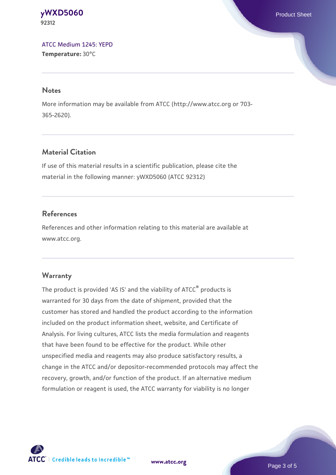#### **[yWXD5060](https://www.atcc.org/products/92312)** Product Sheet **92312**

[ATCC Medium 1245: YEPD](https://www.atcc.org/-/media/product-assets/documents/microbial-media-formulations/1/2/4/5/atcc-medium-1245.pdf?rev=705ca55d1b6f490a808a965d5c072196) **Temperature:** 30°C

#### **Notes**

More information may be available from ATCC (http://www.atcc.org or 703- 365-2620).

## **Material Citation**

If use of this material results in a scientific publication, please cite the material in the following manner: yWXD5060 (ATCC 92312)

## **References**

References and other information relating to this material are available at www.atcc.org.

## **Warranty**

The product is provided 'AS IS' and the viability of ATCC® products is warranted for 30 days from the date of shipment, provided that the customer has stored and handled the product according to the information included on the product information sheet, website, and Certificate of Analysis. For living cultures, ATCC lists the media formulation and reagents that have been found to be effective for the product. While other unspecified media and reagents may also produce satisfactory results, a change in the ATCC and/or depositor-recommended protocols may affect the recovery, growth, and/or function of the product. If an alternative medium formulation or reagent is used, the ATCC warranty for viability is no longer



**[www.atcc.org](http://www.atcc.org)**

Page 3 of 5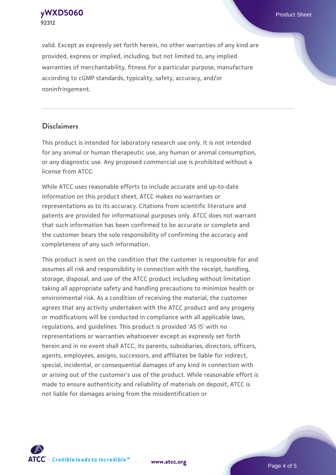**[yWXD5060](https://www.atcc.org/products/92312)** Product Sheet **92312**

valid. Except as expressly set forth herein, no other warranties of any kind are provided, express or implied, including, but not limited to, any implied warranties of merchantability, fitness for a particular purpose, manufacture according to cGMP standards, typicality, safety, accuracy, and/or noninfringement.

#### **Disclaimers**

This product is intended for laboratory research use only. It is not intended for any animal or human therapeutic use, any human or animal consumption, or any diagnostic use. Any proposed commercial use is prohibited without a license from ATCC.

While ATCC uses reasonable efforts to include accurate and up-to-date information on this product sheet, ATCC makes no warranties or representations as to its accuracy. Citations from scientific literature and patents are provided for informational purposes only. ATCC does not warrant that such information has been confirmed to be accurate or complete and the customer bears the sole responsibility of confirming the accuracy and completeness of any such information.

This product is sent on the condition that the customer is responsible for and assumes all risk and responsibility in connection with the receipt, handling, storage, disposal, and use of the ATCC product including without limitation taking all appropriate safety and handling precautions to minimize health or environmental risk. As a condition of receiving the material, the customer agrees that any activity undertaken with the ATCC product and any progeny or modifications will be conducted in compliance with all applicable laws, regulations, and guidelines. This product is provided 'AS IS' with no representations or warranties whatsoever except as expressly set forth herein and in no event shall ATCC, its parents, subsidiaries, directors, officers, agents, employees, assigns, successors, and affiliates be liable for indirect, special, incidental, or consequential damages of any kind in connection with or arising out of the customer's use of the product. While reasonable effort is made to ensure authenticity and reliability of materials on deposit, ATCC is not liable for damages arising from the misidentification or



**[www.atcc.org](http://www.atcc.org)**

Page 4 of 5